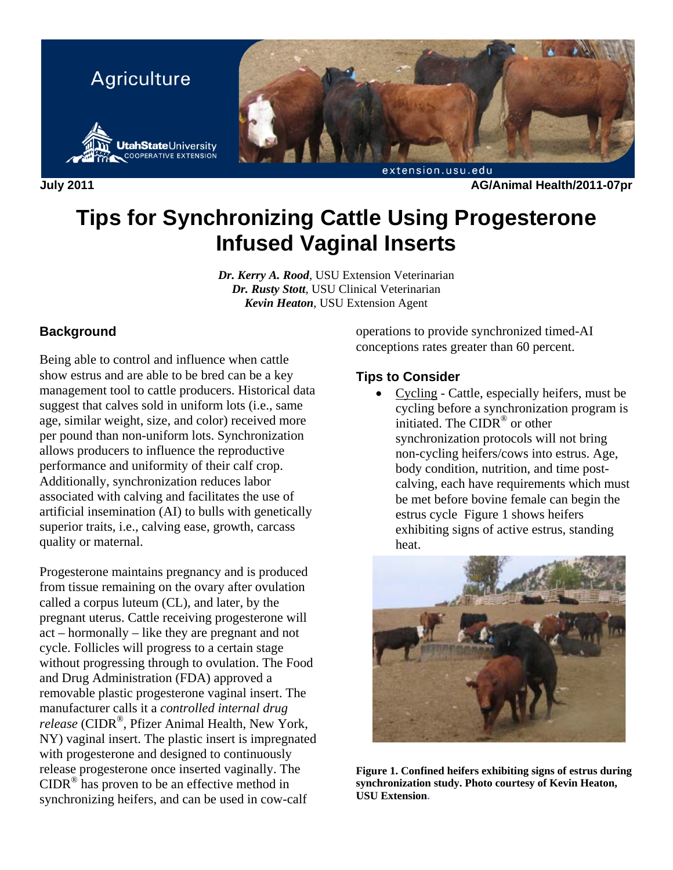

**July 2011 AG/Animal Health/2011-07pr** 

# **Tips for Synchronizing Cattle Using Progesterone Infused Vaginal Inserts**

*Dr. Kerry A. Rood*, USU Extension Veterinarian *Dr. Rusty Stott*, USU Clinical Veterinarian *Kevin Heaton*, USU Extension Agent

# **Background**

Being able to control and influence when cattle show estrus and are able to be bred can be a key management tool to cattle producers. Historical data suggest that calves sold in uniform lots (i.e., same age, similar weight, size, and color) received more per pound than non-uniform lots. Synchronization allows producers to influence the reproductive performance and uniformity of their calf crop. Additionally, synchronization reduces labor associated with calving and facilitates the use of artificial insemination (AI) to bulls with genetically superior traits, i.e., calving ease, growth, carcass quality or maternal.

Progesterone maintains pregnancy and is produced from tissue remaining on the ovary after ovulation called a corpus luteum (CL), and later, by the pregnant uterus. Cattle receiving progesterone will act – hormonally – like they are pregnant and not cycle. Follicles will progress to a certain stage without progressing through to ovulation. The Food and Drug Administration (FDA) approved a removable plastic progesterone vaginal insert. The manufacturer calls it a *controlled internal drug release* (CIDR®, Pfizer Animal Health, New York, NY) vaginal insert. The plastic insert is impregnated with progesterone and designed to continuously release progesterone once inserted vaginally. The  $CIDR<sup>®</sup>$  has proven to be an effective method in synchronizing heifers, and can be used in cow-calf

operations to provide synchronized timed-AI conceptions rates greater than 60 percent.

## **Tips to Consider**

• Cycling - Cattle, especially heifers, must be cycling before a synchronization program is initiated. The CIDR® or other synchronization protocols will not bring non-cycling heifers/cows into estrus. Age, body condition, nutrition, and time postcalving, each have requirements which must be met before bovine female can begin the estrus cycle Figure 1 shows heifers exhibiting signs of active estrus, standing heat.



**Figure 1. Confined heifers exhibiting signs of estrus during synchronization study. Photo courtesy of Kevin Heaton, USU Extension.**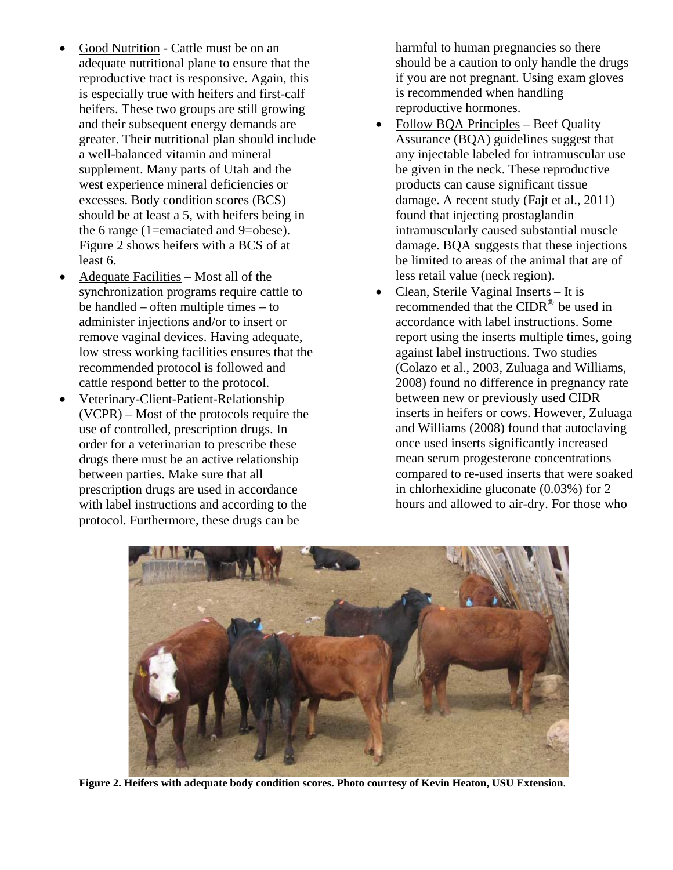- Good Nutrition Cattle must be on an adequate nutritional plane to ensure that the reproductive tract is responsive. Again, this is especially true with heifers and first-calf heifers. These two groups are still growing and their subsequent energy demands are greater. Their nutritional plan should include a well-balanced vitamin and mineral supplement. Many parts of Utah and the west experience mineral deficiencies or excesses. Body condition scores (BCS) should be at least a 5, with heifers being in the 6 range (1=emaciated and 9=obese). Figure 2 shows heifers with a BCS of at least 6.
- Adequate Facilities Most all of the synchronization programs require cattle to be handled – often multiple times – to administer injections and/or to insert or remove vaginal devices. Having adequate, low stress working facilities ensures that the recommended protocol is followed and cattle respond better to the protocol.
- Veterinary-Client-Patient-Relationship (VCPR) – Most of the protocols require the use of controlled, prescription drugs. In order for a veterinarian to prescribe these drugs there must be an active relationship between parties. Make sure that all prescription drugs are used in accordance with label instructions and according to the protocol. Furthermore, these drugs can be

harmful to human pregnancies so there should be a caution to only handle the drugs if you are not pregnant. Using exam gloves is recommended when handling reproductive hormones.

- Follow BQA Principles Beef Quality Assurance (BQA) guidelines suggest that any injectable labeled for intramuscular use be given in the neck. These reproductive products can cause significant tissue damage. A recent study (Fajt et al., 2011) found that injecting prostaglandin intramuscularly caused substantial muscle damage. BQA suggests that these injections be limited to areas of the animal that are of less retail value (neck region).
- Clean, Sterile Vaginal Inserts It is recommended that the CIDR® be used in accordance with label instructions. Some report using the inserts multiple times, going against label instructions. Two studies (Colazo et al., 2003, Zuluaga and Williams, 2008) found no difference in pregnancy rate between new or previously used CIDR inserts in heifers or cows. However, Zuluaga and Williams (2008) found that autoclaving once used inserts significantly increased mean serum progesterone concentrations compared to re-used inserts that were soaked in chlorhexidine gluconate (0.03%) for 2 hours and allowed to air-dry. For those who



**Figure 2. Heifers with adequate body condition scores. Photo courtesy of Kevin Heaton, USU Extension**.